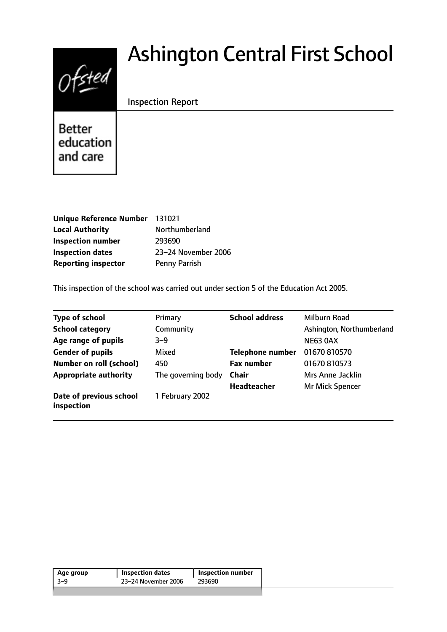# $Of$

# Ashington Central First School

# Inspection Report

**Better** education and care

| Unique Reference Number 131021 |                     |
|--------------------------------|---------------------|
| <b>Local Authority</b>         | Northumberland      |
| <b>Inspection number</b>       | 293690              |
| <b>Inspection dates</b>        | 23-24 November 2006 |
| <b>Reporting inspector</b>     | Penny Parrish       |

This inspection of the school was carried out under section 5 of the Education Act 2005.

| <b>Type of school</b>                 | Primary            | <b>School address</b>   | Milburn Road              |
|---------------------------------------|--------------------|-------------------------|---------------------------|
| <b>School category</b>                | Community          |                         | Ashington, Northumberland |
| Age range of pupils                   | $3 - 9$            |                         | <b>NE63 0AX</b>           |
| <b>Gender of pupils</b>               | Mixed              | <b>Telephone number</b> | 01670 810570              |
| <b>Number on roll (school)</b>        | 450                | <b>Fax number</b>       | 01670 810573              |
| <b>Appropriate authority</b>          | The governing body | Chair                   | Mrs Anne Jacklin          |
|                                       |                    | <b>Headteacher</b>      | Mr Mick Spencer           |
| Date of previous school<br>inspection | 1 February 2002    |                         |                           |

| 23–24 November 2006<br>-3-9<br>293690 | <b>Inspection number</b> |
|---------------------------------------|--------------------------|
|                                       |                          |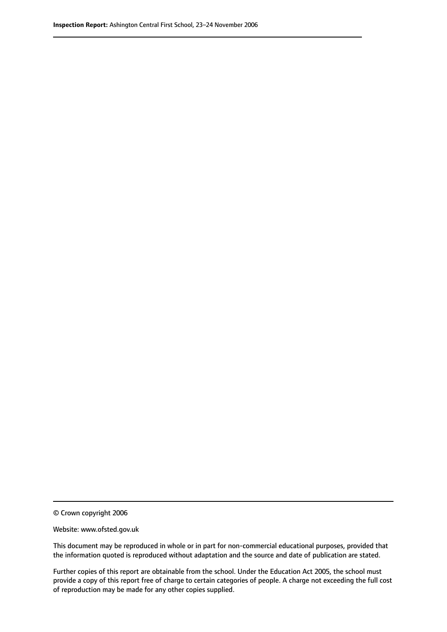© Crown copyright 2006

Website: www.ofsted.gov.uk

This document may be reproduced in whole or in part for non-commercial educational purposes, provided that the information quoted is reproduced without adaptation and the source and date of publication are stated.

Further copies of this report are obtainable from the school. Under the Education Act 2005, the school must provide a copy of this report free of charge to certain categories of people. A charge not exceeding the full cost of reproduction may be made for any other copies supplied.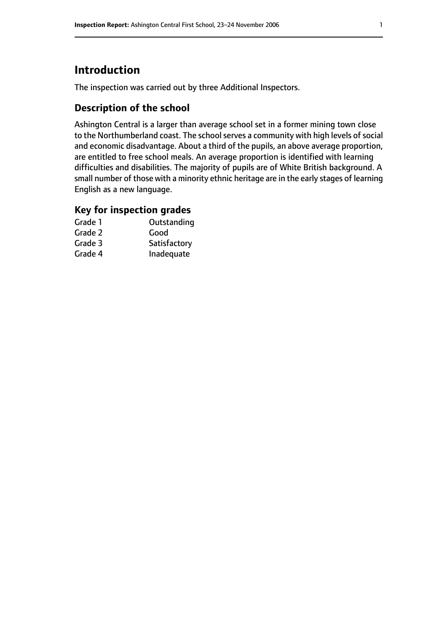# **Introduction**

The inspection was carried out by three Additional Inspectors.

# **Description of the school**

Ashington Central is a larger than average school set in a former mining town close to the Northumberland coast. The school serves a community with high levels of social and economic disadvantage. About a third of the pupils, an above average proportion, are entitled to free school meals. An average proportion is identified with learning difficulties and disabilities. The majority of pupils are of White British background. A small number of those with a minority ethnic heritage are in the early stages of learning English as a new language.

#### **Key for inspection grades**

| Grade 1 | Outstanding  |
|---------|--------------|
| Grade 2 | Good         |
| Grade 3 | Satisfactory |
| Grade 4 | Inadequate   |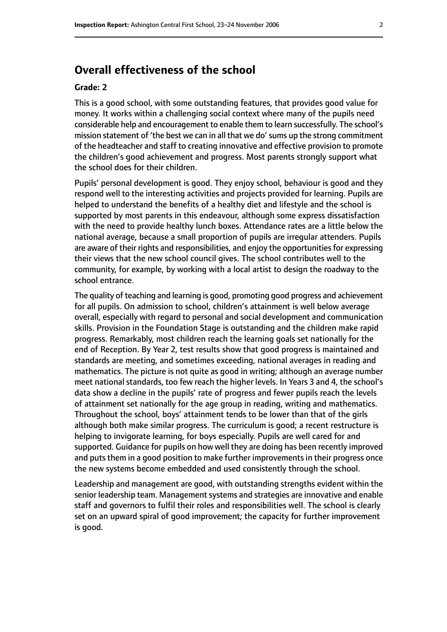# **Overall effectiveness of the school**

#### **Grade: 2**

This is a good school, with some outstanding features, that provides good value for money. It works within a challenging social context where many of the pupils need considerable help and encouragement to enable them to learn successfully. The school's mission statement of 'the best we can in all that we do'sums up the strong commitment of the headteacher and staff to creating innovative and effective provision to promote the children's good achievement and progress. Most parents strongly support what the school does for their children.

Pupils' personal development is good. They enjoy school, behaviour is good and they respond well to the interesting activities and projects provided for learning. Pupils are helped to understand the benefits of a healthy diet and lifestyle and the school is supported by most parents in this endeavour, although some express dissatisfaction with the need to provide healthy lunch boxes. Attendance rates are a little below the national average, because a small proportion of pupils are irregular attenders. Pupils are aware of their rights and responsibilities, and enjoy the opportunities for expressing their views that the new school council gives. The school contributes well to the community, for example, by working with a local artist to design the roadway to the school entrance.

The quality of teaching and learning is good, promoting good progress and achievement for all pupils. On admission to school, children's attainment is well below average overall, especially with regard to personal and social development and communication skills. Provision in the Foundation Stage is outstanding and the children make rapid progress. Remarkably, most children reach the learning goals set nationally for the end of Reception. By Year 2, test results show that good progress is maintained and standards are meeting, and sometimes exceeding, national averages in reading and mathematics. The picture is not quite as good in writing; although an average number meet national standards, too few reach the higher levels. In Years 3 and 4, the school's data show a decline in the pupils' rate of progress and fewer pupils reach the levels of attainment set nationally for the age group in reading, writing and mathematics. Throughout the school, boys' attainment tends to be lower than that of the girls although both make similar progress. The curriculum is good; a recent restructure is helping to invigorate learning, for boys especially. Pupils are well cared for and supported. Guidance for pupils on how well they are doing has been recently improved and puts them in a good position to make further improvements in their progress once the new systems become embedded and used consistently through the school.

Leadership and management are good, with outstanding strengths evident within the senior leadership team. Management systems and strategies are innovative and enable staff and governors to fulfil their roles and responsibilities well. The school is clearly set on an upward spiral of good improvement; the capacity for further improvement is good.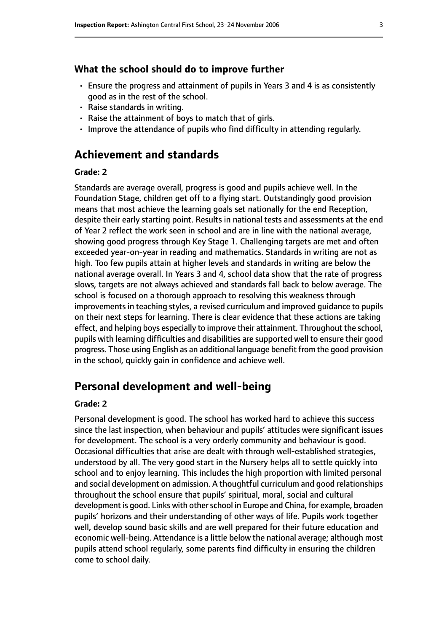#### **What the school should do to improve further**

- Ensure the progress and attainment of pupils in Years 3 and 4 is as consistently good as in the rest of the school.
- Raise standards in writing.
- Raise the attainment of boys to match that of girls.
- Improve the attendance of pupils who find difficulty in attending regularly.

#### **Achievement and standards**

#### **Grade: 2**

Standards are average overall, progress is good and pupils achieve well. In the Foundation Stage, children get off to a flying start. Outstandingly good provision means that most achieve the learning goals set nationally for the end Reception, despite their early starting point. Results in national tests and assessments at the end of Year 2 reflect the work seen in school and are in line with the national average, showing good progress through Key Stage 1. Challenging targets are met and often exceeded year-on-year in reading and mathematics. Standards in writing are not as high. Too few pupils attain at higher levels and standards in writing are below the national average overall. In Years 3 and 4, school data show that the rate of progress slows, targets are not always achieved and standards fall back to below average. The school is focused on a thorough approach to resolving this weakness through improvements in teaching styles, a revised curriculum and improved guidance to pupils on their next steps for learning. There is clear evidence that these actions are taking effect, and helping boys especially to improve their attainment. Throughout the school, pupils with learning difficulties and disabilities are supported well to ensure their good progress. Those using English as an additional language benefit from the good provision in the school, quickly gain in confidence and achieve well.

#### **Personal development and well-being**

#### **Grade: 2**

Personal development is good. The school has worked hard to achieve this success since the last inspection, when behaviour and pupils' attitudes were significant issues for development. The school is a very orderly community and behaviour is good. Occasional difficulties that arise are dealt with through well-established strategies, understood by all. The very good start in the Nursery helps all to settle quickly into school and to enjoy learning. This includes the high proportion with limited personal and social development on admission. A thoughtful curriculum and good relationships throughout the school ensure that pupils' spiritual, moral, social and cultural development is good. Links with other school in Europe and China, for example, broaden pupils' horizons and their understanding of other ways of life. Pupils work together well, develop sound basic skills and are well prepared for their future education and economic well-being. Attendance is a little below the national average; although most pupils attend school regularly, some parents find difficulty in ensuring the children come to school daily.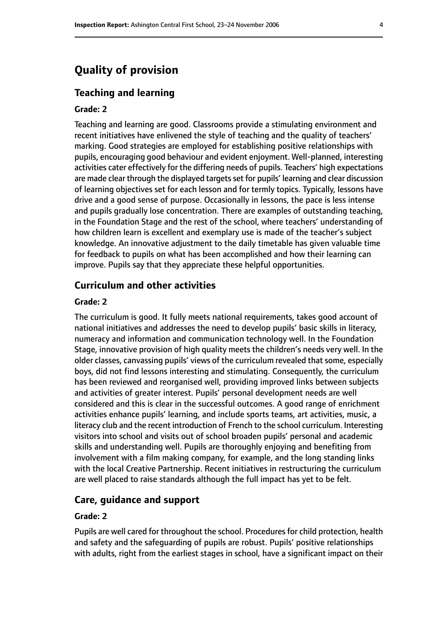# **Quality of provision**

#### **Teaching and learning**

#### **Grade: 2**

Teaching and learning are good. Classrooms provide a stimulating environment and recent initiatives have enlivened the style of teaching and the quality of teachers' marking. Good strategies are employed for establishing positive relationships with pupils, encouraging good behaviour and evident enjoyment. Well-planned, interesting activities cater effectively for the differing needs of pupils. Teachers' high expectations are made clear through the displayed targetsset for pupils' learning and clear discussion of learning objectives set for each lesson and for termly topics. Typically, lessons have drive and a good sense of purpose. Occasionally in lessons, the pace is less intense and pupils gradually lose concentration. There are examples of outstanding teaching, in the Foundation Stage and the rest of the school, where teachers' understanding of how children learn is excellent and exemplary use is made of the teacher's subject knowledge. An innovative adjustment to the daily timetable has given valuable time for feedback to pupils on what has been accomplished and how their learning can improve. Pupils say that they appreciate these helpful opportunities.

#### **Curriculum and other activities**

#### **Grade: 2**

The curriculum is good. It fully meets national requirements, takes good account of national initiatives and addresses the need to develop pupils' basic skills in literacy, numeracy and information and communication technology well. In the Foundation Stage, innovative provision of high quality meets the children's needs very well. In the older classes, canvassing pupils' views of the curriculum revealed that some, especially boys, did not find lessons interesting and stimulating. Consequently, the curriculum has been reviewed and reorganised well, providing improved links between subjects and activities of greater interest. Pupils' personal development needs are well considered and this is clear in the successful outcomes. A good range of enrichment activities enhance pupils' learning, and include sports teams, art activities, music, a literacy club and the recent introduction of French to the school curriculum. Interesting visitors into school and visits out of school broaden pupils' personal and academic skills and understanding well. Pupils are thoroughly enjoying and benefiting from involvement with a film making company, for example, and the long standing links with the local Creative Partnership. Recent initiatives in restructuring the curriculum are well placed to raise standards although the full impact has yet to be felt.

#### **Care, guidance and support**

#### **Grade: 2**

Pupils are well cared for throughout the school. Procedures for child protection, health and safety and the safeguarding of pupils are robust. Pupils' positive relationships with adults, right from the earliest stages in school, have a significant impact on their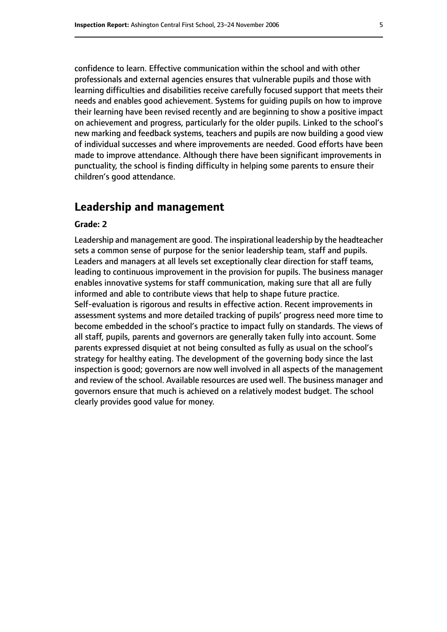confidence to learn. Effective communication within the school and with other professionals and external agencies ensures that vulnerable pupils and those with learning difficulties and disabilities receive carefully focused support that meets their needs and enables good achievement. Systems for guiding pupils on how to improve their learning have been revised recently and are beginning to show a positive impact on achievement and progress, particularly for the older pupils. Linked to the school's new marking and feedback systems, teachers and pupils are now building a good view of individual successes and where improvements are needed. Good efforts have been made to improve attendance. Although there have been significant improvements in punctuality, the school is finding difficulty in helping some parents to ensure their children's good attendance.

#### **Leadership and management**

#### **Grade: 2**

Leadership and management are good. The inspirational leadership by the headteacher sets a common sense of purpose for the senior leadership team, staff and pupils. Leaders and managers at all levels set exceptionally clear direction for staff teams, leading to continuous improvement in the provision for pupils. The business manager enables innovative systems for staff communication, making sure that all are fully informed and able to contribute views that help to shape future practice. Self-evaluation is rigorous and results in effective action. Recent improvements in assessment systems and more detailed tracking of pupils' progress need more time to become embedded in the school's practice to impact fully on standards. The views of all staff, pupils, parents and governors are generally taken fully into account. Some parents expressed disquiet at not being consulted as fully as usual on the school's strategy for healthy eating. The development of the governing body since the last inspection is good; governors are now well involved in all aspects of the management and review of the school. Available resources are used well. The business manager and governors ensure that much is achieved on a relatively modest budget. The school clearly provides good value for money.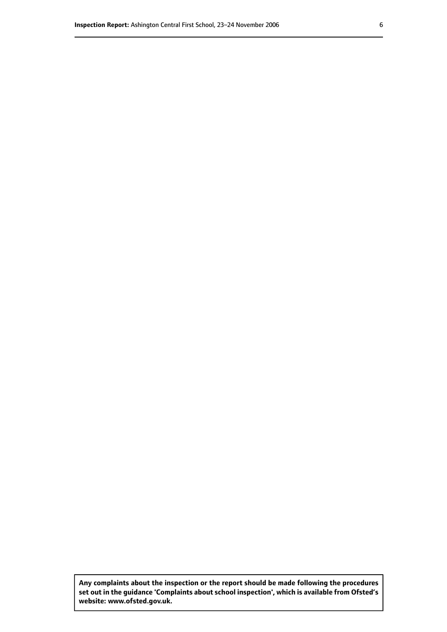**Any complaints about the inspection or the report should be made following the procedures set out inthe guidance 'Complaints about school inspection', whichis available from Ofsted's website: www.ofsted.gov.uk.**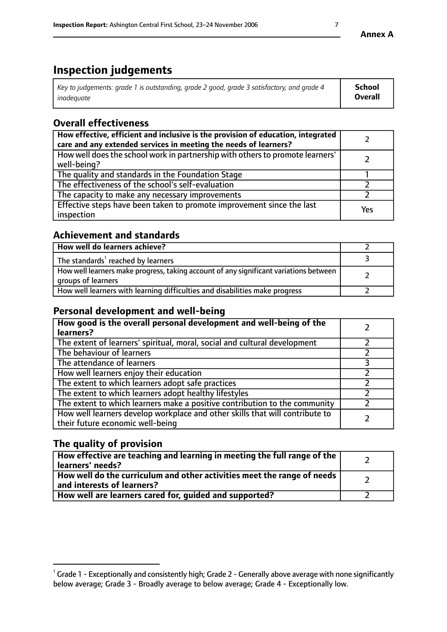# **Inspection judgements**

| Key to judgements: grade 1 is outstanding, grade 2 good, grade 3 satisfactory, and grade 4 | <b>School</b>  |
|--------------------------------------------------------------------------------------------|----------------|
| inadeauate                                                                                 | <b>Overall</b> |

# **Overall effectiveness**

| How effective, efficient and inclusive is the provision of education, integrated<br>care and any extended services in meeting the needs of learners? |     |
|------------------------------------------------------------------------------------------------------------------------------------------------------|-----|
| How well does the school work in partnership with others to promote learners'<br>well-being?                                                         |     |
| The quality and standards in the Foundation Stage                                                                                                    |     |
| The effectiveness of the school's self-evaluation                                                                                                    |     |
| The capacity to make any necessary improvements                                                                                                      |     |
| Effective steps have been taken to promote improvement since the last<br>inspection                                                                  | Yes |

### **Achievement and standards**

| How well do learners achieve?                                                                               |  |
|-------------------------------------------------------------------------------------------------------------|--|
| The standards <sup>1</sup> reached by learners                                                              |  |
| How well learners make progress, taking account of any significant variations between<br>groups of learners |  |
| How well learners with learning difficulties and disabilities make progress                                 |  |

# **Personal development and well-being**

| How good is the overall personal development and well-being of the<br>learners?                                  |  |
|------------------------------------------------------------------------------------------------------------------|--|
| The extent of learners' spiritual, moral, social and cultural development                                        |  |
| The behaviour of learners                                                                                        |  |
| The attendance of learners                                                                                       |  |
| How well learners enjoy their education                                                                          |  |
| The extent to which learners adopt safe practices                                                                |  |
| The extent to which learners adopt healthy lifestyles                                                            |  |
| The extent to which learners make a positive contribution to the community                                       |  |
| How well learners develop workplace and other skills that will contribute to<br>their future economic well-being |  |

# **The quality of provision**

| How effective are teaching and learning in meeting the full range of the<br>  learners' needs?                      |  |
|---------------------------------------------------------------------------------------------------------------------|--|
| $\mid$ How well do the curriculum and other activities meet the range of needs<br>$\mid$ and interests of learners? |  |
| How well are learners cared for, guided and supported?                                                              |  |

 $^1$  Grade 1 - Exceptionally and consistently high; Grade 2 - Generally above average with none significantly below average; Grade 3 - Broadly average to below average; Grade 4 - Exceptionally low.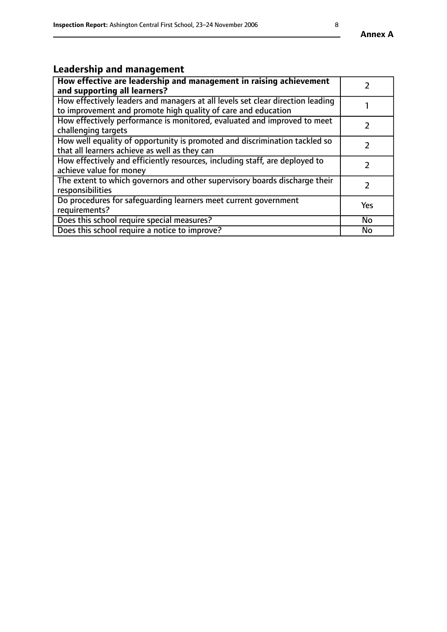# **Leadership and management**

| How effective are leadership and management in raising achievement<br>and supporting all learners?                                              |               |
|-------------------------------------------------------------------------------------------------------------------------------------------------|---------------|
| How effectively leaders and managers at all levels set clear direction leading<br>to improvement and promote high quality of care and education |               |
| How effectively performance is monitored, evaluated and improved to meet<br>challenging targets                                                 |               |
| How well equality of opportunity is promoted and discrimination tackled so<br>that all learners achieve as well as they can                     |               |
| How effectively and efficiently resources, including staff, are deployed to<br>achieve value for money                                          | $\mathcal{L}$ |
| The extent to which governors and other supervisory boards discharge their<br>responsibilities                                                  |               |
| Do procedures for safequarding learners meet current government<br>requirements?                                                                | Yes           |
| Does this school require special measures?                                                                                                      | No            |
| Does this school require a notice to improve?                                                                                                   | <b>No</b>     |